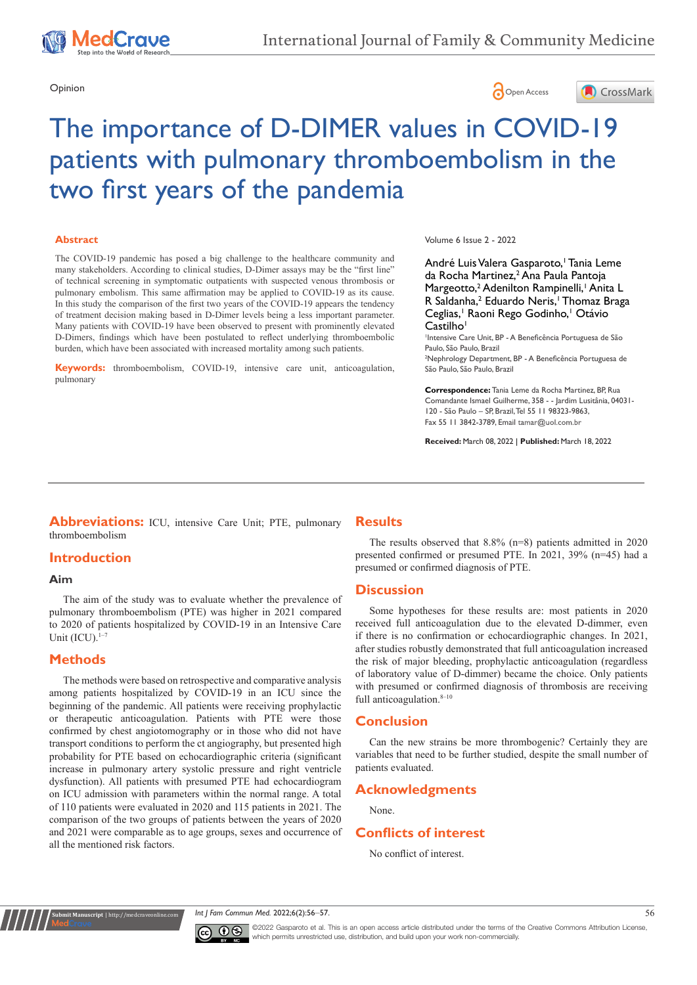





# The importance of D-DIMER values in COVID-19 patients with pulmonary thromboembolism in the two first years of the pandemia

### **Abstract**

The COVID-19 pandemic has posed a big challenge to the healthcare community and many stakeholders. According to clinical studies, D-Dimer assays may be the "first line" of technical screening in symptomatic outpatients with suspected venous thrombosis or pulmonary embolism. This same affirmation may be applied to COVID-19 as its cause. In this study the comparison of the first two years of the COVID-19 appears the tendency of treatment decision making based in D-Dimer levels being a less important parameter. Many patients with COVID-19 have been observed to present with prominently elevated D-Dimers, findings which have been postulated to reflect underlying thromboembolic burden, which have been associated with increased mortality among such patients.

**Keywords:** thromboembolism, COVID-19, intensive care unit, anticoagulation, pulmonary

#### Volume 6 Issue 2 - 2022

André Luis Valera Gasparoto,<sup>1</sup> Tania Leme da Rocha Martinez,<sup>2</sup> Ana Paula Pantoja Margeotto,<sup>2</sup> Adenilton Rampinelli,<sup>1</sup> Anita L R Saldanha,<sup>2</sup> Eduardo Neris,<sup>1</sup> Thomaz Braga Ceglias,<sup>1</sup> Raoni Rego Godinho,<sup>1</sup> Otávio Castilho<sup>1</sup>

1 Intensive Care Unit, BP - A Beneficência Portuguesa de São Paulo, São Paulo, Brazil

2 Nephrology Department, BP - A Beneficência Portuguesa de São Paulo, São Paulo, Brazil

**Correspondence:** Tania Leme da Rocha Martinez, BP, Rua Comandante Ismael Guilherme, 358 - - Jardim Lusitânia, 04031- 120 - São Paulo – SP, Brazil, Tel 55 11 98323-9863, Fax 55 11 3842-3789, Email tamar@uol.com.br

**Received:** March 08, 2022 | **Published:** March 18, 2022

**Abbreviations:** ICU, intensive Care Unit; PTE, pulmonary thromboembolism

# **Introduction**

#### **Aim**

The aim of the study was to evaluate whether the prevalence of pulmonary thromboembolism (PTE) was higher in 2021 compared to 2020 of patients hospitalized by COVID-19 in an Intensive Care Unit  $(ICU).$ <sup>1-7</sup>

# **Methods**

**It Manuscript** | http://medcra

The methods were based on retrospective and comparative analysis among patients hospitalized by COVID-19 in an ICU since the beginning of the pandemic. All patients were receiving prophylactic or therapeutic anticoagulation. Patients with PTE were those confirmed by chest angiotomography or in those who did not have transport conditions to perform the ct angiography, but presented high probability for PTE based on echocardiographic criteria (significant increase in pulmonary artery systolic pressure and right ventricle dysfunction). All patients with presumed PTE had echocardiogram on ICU admission with parameters within the normal range. A total of 110 patients were evaluated in 2020 and 115 patients in 2021. The comparison of the two groups of patients between the years of 2020 and 2021 were comparable as to age groups, sexes and occurrence of all the mentioned risk factors.

# **Results**

The results observed that 8.8% (n=8) patients admitted in 2020 presented confirmed or presumed PTE. In 2021, 39% (n=45) had a presumed or confirmed diagnosis of PTE.

## **Discussion**

Some hypotheses for these results are: most patients in 2020 received full anticoagulation due to the elevated D-dimmer, even if there is no confirmation or echocardiographic changes. In 2021, after studies robustly demonstrated that full anticoagulation increased the risk of major bleeding, prophylactic anticoagulation (regardless of laboratory value of D-dimmer) became the choice. Only patients with presumed or confirmed diagnosis of thrombosis are receiving full anticoagulation. $8-10$ 

# **Conclusion**

Can the new strains be more thrombogenic? Certainly they are variables that need to be further studied, despite the small number of patients evaluated.

# **Acknowledgments**

None.

# **Conflicts of interest**

No conflict of interest.





©2022 Gasparoto et al. This is an open access article distributed under the terms of the [Creative Commons Attribution License](https://creativecommons.org/licenses/by-nc/4.0/), which permits unrestricted use, distribution, and build upon your work non-commercially.